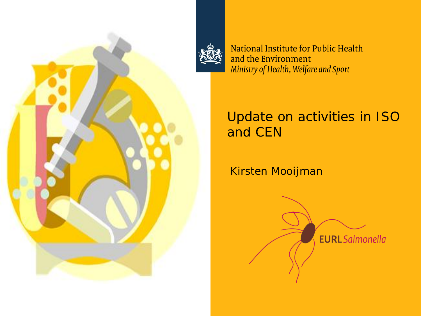



National Institute for Public Health and the Environment Ministry of Health, Welfare and Sport

## Update on activities in ISO and CEN

Kirsten Mooijman

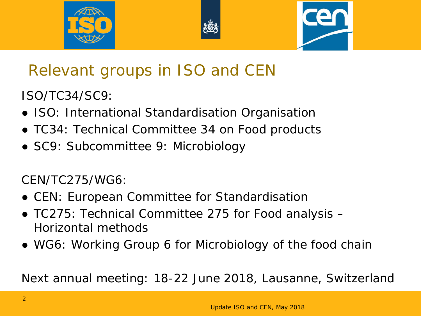





# Relevant groups in ISO and CEN

ISO/TC34/SC9:

- ISO: International Standardisation Organisation
- TC34: Technical Committee 34 on Food products
- SC9: Subcommittee 9: Microbiology

CEN/TC275/WG6:

- CEN: European Committee for Standardisation
- TC275: Technical Committee 275 for Food analysis Horizontal methods
- WG6: Working Group 6 for Microbiology of the food chain

Next annual meeting: 18-22 June 2018, Lausanne, Switzerland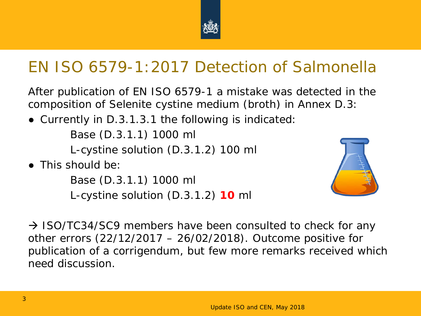

## EN ISO 6579-1:2017 Detection of *Salmonella*

After publication of EN ISO 6579-1 a mistake was detected in the composition of Selenite cystine medium (broth) in Annex D.3:

● Currently in D.3.1.3.1 the following is indicated:

Base (D.3.1.1) 1000 ml

L-cystine solution (D.3.1.2) 100 ml

 $\bullet$  This should be:

Base (D.3.1.1) 1000 ml L-cystine solution (D.3.1.2) **10** ml



 $\rightarrow$  ISO/TC34/SC9 members have been consulted to check for any other errors (22/12/2017 – 26/02/2018). Outcome positive for publication of a corrigendum, but few more remarks received which need discussion.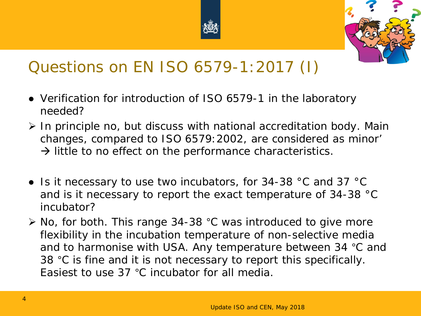



## Questions on EN ISO 6579-1:2017 (I)

- Verification for introduction of ISO 6579-1 in the laboratory needed?
- $\triangleright$  In principle no, but discuss with national accreditation body. Main changes, compared to ISO 6579:2002, are considered as minor'  $\rightarrow$  little to no effect on the performance characteristics.
- Is it necessary to use two incubators, for 34-38 °C and 37 °C and is it necessary to report the exact temperature of 34-38 °C incubator?
- ▶ No, for both. This range 34-38 °C was introduced to give more flexibility in the incubation temperature of non-selective media and to harmonise with USA. Any temperature between 34 °C and 38 °C is fine and it is not necessary to report this specifically. Easiest to use 37 °C incubator for all media.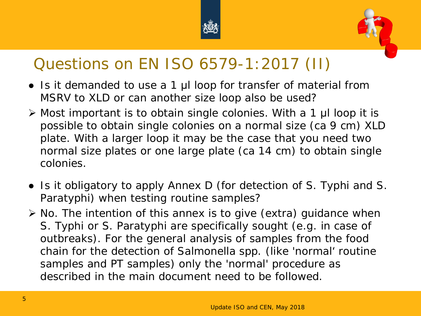



## Questions on EN ISO 6579-1:2017 (II)

- Is it demanded to use a 1 μl loop for transfer of material from MSRV to XLD or can another size loop also be used?
- Most important is to obtain single colonies. With a 1 μl loop it is possible to obtain single colonies on a normal size (ca 9 cm) XLD plate. With a larger loop it may be the case that you need two normal size plates or one large plate (ca 14 cm) to obtain single colonies.
- Is it obligatory to apply Annex D (for detection of *S.* Typhi and *S.*  Paratyphi) when testing routine samples?
- $\triangleright$  No. The intention of this annex is to give (extra) guidance when *S*. Typhi or *S*. Paratyphi are specifically sought (e.g. in case of outbreaks). For the general analysis of samples from the food chain for the detection of *Salmonella* spp. (like 'normal' routine samples and PT samples) only the 'normal' procedure as described in the main document need to be followed.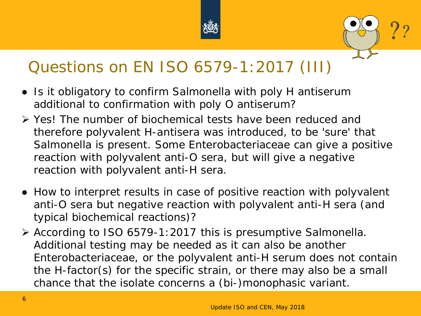



## Questions on EN ISO 6579-1:2017 (III)

- Is it obligatory to confirm *Salmonella* with poly H antiserum additional to confirmation with poly O antiserum?
- Yes! The number of biochemical tests have been reduced and therefore polyvalent H-antisera was introduced, to be 'sure' that *Salmonella* is present. Some *Enterobacteriaceae* can give a positive reaction with polyvalent anti-O sera, but will give a negative reaction with polyvalent anti-H sera.
- How to interpret results in case of positive reaction with polyvalent anti-O sera but negative reaction with polyvalent anti-H sera (and typical biochemical reactions)?
- According to ISO 6579-1:2017 this is presumptive *Salmonella*. Additional testing may be needed as it can also be another *Enterobacteriaceae*, or the polyvalent anti-H serum does not contain the H-factor(s) for the specific strain, or there may also be a small chance that the isolate concerns a (bi-)monophasic variant.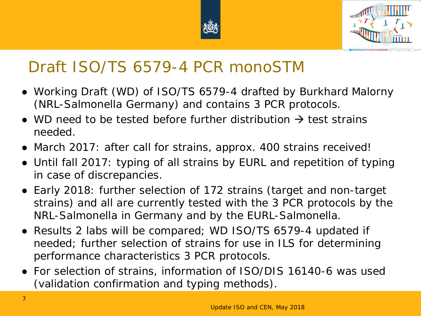



## Draft ISO/TS 6579-4 PCR monoSTM

- Working Draft (WD) of ISO/TS 6579-4 drafted by Burkhard Malorny (NRL-*Salmonella* Germany) and contains 3 PCR protocols.
- WD need to be tested before further distribution  $\rightarrow$  test strains needed.
- March 2017: after call for strains, approx. 400 strains received!
- Until fall 2017: typing of all strains by EURL and repetition of typing in case of discrepancies.
- Early 2018: further selection of 172 strains (target and non-target strains) and all are currently tested with the 3 PCR protocols by the NRL-*Salmonella* in Germany and by the EURL-*Salmonella*.
- Results 2 labs will be compared; WD ISO/TS 6579-4 updated if needed; further selection of strains for use in ILS for determining performance characteristics 3 PCR protocols.
- For selection of strains, information of ISO/DIS 16140-6 was used (validation confirmation and typing methods).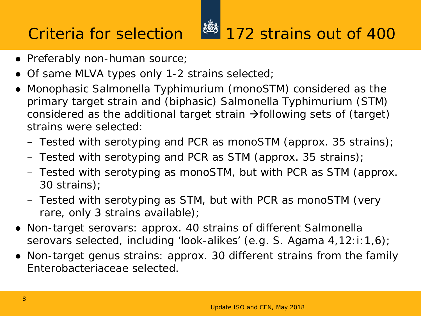## Criteria for selection 172 strains out of 400

## ● Preferably non-human source;

- Of same MLVA types only 1-2 strains selected;
- Monophasic *Salmonella* Typhimurium (monoSTM) considered as the primary target strain and (biphasic) *Salmonella* Typhimurium (STM) considered as the additional target strain  $\rightarrow$  following sets of (target) strains were selected:
	- Tested with serotyping and PCR as monoSTM (approx. 35 strains);
	- Tested with serotyping and PCR as STM (approx. 35 strains);
	- Tested with serotyping as monoSTM, but with PCR as STM (approx. 30 strains);
	- Tested with serotyping as STM, but with PCR as monoSTM (very rare, only 3 strains available);
- Non-target serovars: approx. 40 strains of different *Salmonella* serovars selected, including 'look-alikes' (e.g. *S.* Agama 4,12:i:1,6);
- Non-target genus strains: approx. 30 different strains from the family *Enterobacteriaceae* selected.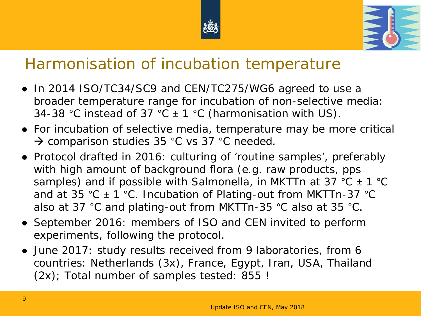



## Harmonisation of incubation temperature

- In 2014 ISO/TC34/SC9 and CEN/TC275/WG6 agreed to use a broader temperature range for incubation of non-selective media: 34-38 °C instead of 37 °C  $\pm$  1 °C (harmonisation with US).
- For incubation of selective media, temperature may be more critical → comparison studies 35 °C vs 37 °C needed.
- Protocol drafted in 2016: culturing of 'routine samples', preferably with high amount of background flora (e.g. raw products, pps samples) and if possible with *Salmonella*, in MKTTn at 37 °C ± 1 °C and at 35 °C  $\pm$  1 °C. Incubation of Plating-out from MKTTn-37 °C also at 37 °C and plating-out from MKTTn-35 °C also at 35 °C.
- September 2016: members of ISO and CEN invited to perform experiments, following the protocol.
- June 2017: study results received from 9 laboratories, from 6 countries: Netherlands (3x), France, Egypt, Iran, USA, Thailand (2x); Total number of samples tested: 855 !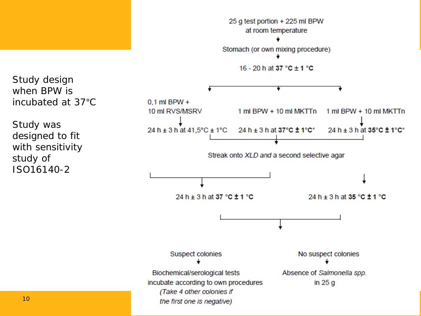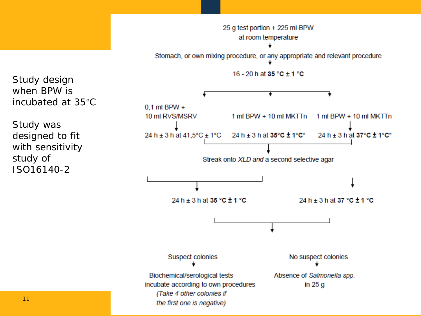

Study design when BPW is incubated at 35°C

Study was designed to fit with sensitivity study of ISO16140-2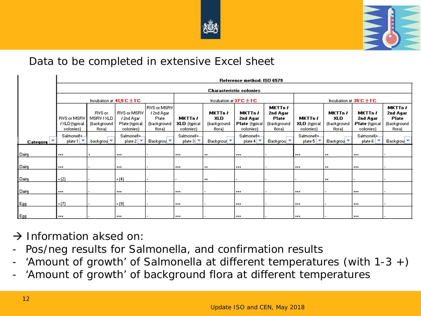



### Data to be completed in extensive Excel sheet

|                            | Reference method: ISO 6579                        |                                                      |                                                          |                                                             |                                             |                                         |                                                           |                                                              |                                                    |                                                       |                                                           |                                                              |
|----------------------------|---------------------------------------------------|------------------------------------------------------|----------------------------------------------------------|-------------------------------------------------------------|---------------------------------------------|-----------------------------------------|-----------------------------------------------------------|--------------------------------------------------------------|----------------------------------------------------|-------------------------------------------------------|-----------------------------------------------------------|--------------------------------------------------------------|
|                            |                                                   | <b>Characteristic colonies</b>                       |                                                          |                                                             |                                             |                                         |                                                           |                                                              |                                                    |                                                       |                                                           |                                                              |
|                            | Incubation at $41,5^\circ C \pm 1^\circ C$        |                                                      |                                                          | Incubation at $37^{\circ}$ C $\pm$ 1°C                      |                                             |                                         |                                                           | Incubation at $35^{\circ}$ C $\pm$ 1°C                       |                                                    |                                                       |                                                           |                                                              |
|                            | RVS or MSRV<br><b>/ XLD</b> (typical<br>colonies) | <b>RVS</b> or<br>MSRV / XLD<br>(background<br>flora) | RVS or MSRV<br>ł 2nd Agar<br>Plate (typical<br>colonies) | RVS or MSRV <br>/2nd Agar<br>Plate<br>(background<br>flora) | MKTTn /<br><b>XLD</b> (typical<br>colonies) | MKTTn /<br>XLD<br>(background<br>flora) | MKTTn /<br>2nd Agar<br><b>Plate</b> (typical<br>colonies) | <b>MKTTn /</b><br>2nd Agar<br>Plate<br>(background<br>flora) | <b>MKTTn</b> ł<br><b>XLD</b> (typical<br>colonies) | <b>MKTTn</b> ł<br><b>XLD</b><br>(background<br>flora) | MKTTn /<br>2nd Agar<br><b>Plate</b> (typical<br>colonies) | <b>MKTTn</b> ł<br>2nd Agar<br>Plate<br>(background<br>flora) |
| $Categorical$ <sup>V</sup> | Salmonella<br>plate 1                             | backgrou *                                           | Salmonella<br>plate $2 \mid \top$                        | Backgrou ▼                                                  | Salmonella<br>plate $3 \mid \top$           | Backgrour ▼                             | Salmonella<br>plate 4                                     | Backgrou ▼                                                   | Salmonella<br>plate $5$   $7$                      | Backgrou V                                            | Salmonella<br>plate $6 \mid \nabla$                       | Backgrou                                                     |
| Dairy                      | $***$                                             |                                                      | $***$                                                    |                                                             | $***$                                       | $^{++}$                                 | $***$                                                     |                                                              | $***$                                              | $^{++}$                                               | $***$                                                     |                                                              |
| Dairy                      | $***$                                             |                                                      | $***$                                                    |                                                             | $***$                                       | $^{++}$                                 | $***$                                                     |                                                              | <b>+++</b>                                         | $^{++}$                                               | $***$                                                     |                                                              |
| Dairy                      | (2)                                               |                                                      | $+(4)$                                                   |                                                             |                                             | $^{++}$                                 |                                                           |                                                              |                                                    | $^{++}$                                               |                                                           |                                                              |
| Dairy                      | $***$                                             |                                                      | $***$                                                    |                                                             | $***$                                       |                                         | $***$                                                     |                                                              | $***$                                              |                                                       | $***$                                                     |                                                              |
| Egg                        | $\cdot$ (7)                                       |                                                      | $+ (9)$                                                  |                                                             | $***$                                       |                                         | $***$                                                     |                                                              | $***$                                              |                                                       | $***$                                                     |                                                              |
| Egg                        | $***$                                             |                                                      | $***$                                                    |                                                             | ***                                         |                                         | $***$                                                     |                                                              | $***$                                              |                                                       | $***$                                                     |                                                              |

 $\rightarrow$  Information aksed on:

- Pos/neg results for *Salmonella,* and confirmation results
- 'Amount of growth' of *Salmonella* at different temperatures (with 1-3 +)
- 'Amount of growth' of background flora at different temperatures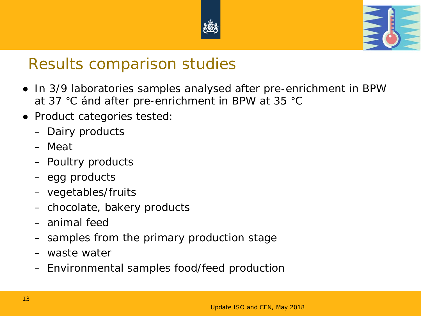



## Results comparison studies

- In 3/9 laboratories samples analysed after pre-enrichment in BPW at 37 °C ánd after pre-enrichment in BPW at 35 °C
- Product categories tested:
	- Dairy products
	- Meat
	- Poultry products
	- egg products
	- vegetables/fruits
	- chocolate, bakery products
	- animal feed
	- samples from the primary production stage
	- waste water
	- Environmental samples food/feed production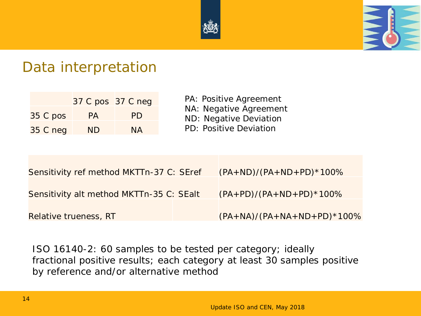



## Data interpretation

|                 | 37 C pos 37 C neg |           |
|-----------------|-------------------|-----------|
| 35 C pos        | PA                | <b>PD</b> |
| <b>35 C neg</b> | <b>ND</b>         | <b>NA</b> |

PA: Positive Agreement NA: Negative Agreement ND: Negative Deviation PD: Positive Deviation

| Sensitivity ref method MKTTn-37 C: SEref | $(PA + ND)/(PA + ND + PD) * 100%$ |
|------------------------------------------|-----------------------------------|
| Sensitivity alt method MKTTn-35 C: SEalt | $(PA+PD)/(PA+ND+PD)*100\%$        |
| Relative trueness, RT                    | $(PA+NA)/(PA+NA+ND+PD)*100%$      |
|                                          |                                   |

ISO 16140-2: 60 samples to be tested per category; ideally fractional positive results; each category at least 30 samples positive by reference and/or alternative method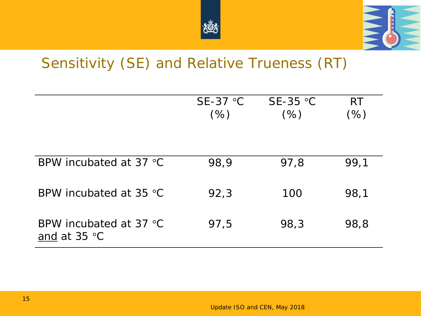



## Sensitivity (SE) and Relative Trueness (RT)

|                                                           | $SE-37$ °C<br>(% ) | $SE-35$ °C<br>(% ) | <b>RT</b><br>(% ) |
|-----------------------------------------------------------|--------------------|--------------------|-------------------|
| BPW incubated at 37 °C                                    | 98,9               | 97,8               | 99,1              |
| BPW incubated at 35 °C                                    | 92,3               | 100                | 98,1              |
| BPW incubated at 37 $^{\circ}$ C<br>and at $35^{\circ}$ C | 97,5               | 98,3               | 98,8              |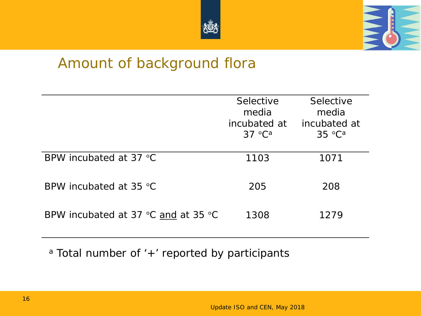



## Amount of background flora

|                                                       | Selective<br>media<br>incubated at<br>$37 °C^a$ | Selective<br>media<br>incubated at<br>$35^{\circ}$ C <sup>a</sup> |
|-------------------------------------------------------|-------------------------------------------------|-------------------------------------------------------------------|
| BPW incubated at 37 $^{\circ}$ C                      | 1103                                            | 1071                                                              |
| BPW incubated at 35 $\degree$ C                       | 205                                             | 208                                                               |
| BPW incubated at 37 $\degree$ C and at 35 $\degree$ C | 1308                                            | 1279                                                              |

a Total number of '+' reported by participants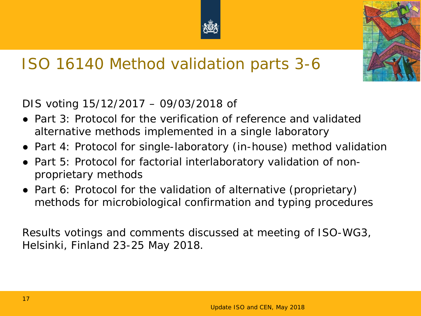

# ISO 16140 Method validation parts 3-6

DIS voting 15/12/2017 – 09/03/2018 of

- Part 3: Protocol for the verification of reference and validated alternative methods implemented in a single laboratory
- Part 4: Protocol for single-laboratory (in-house) method validation
- Part 5: Protocol for factorial interlaboratory validation of nonproprietary methods
- Part 6: Protocol for the validation of alternative (proprietary) methods for microbiological confirmation and typing procedures

Results votings and comments discussed at meeting of ISO-WG3, Helsinki, Finland 23-25 May 2018.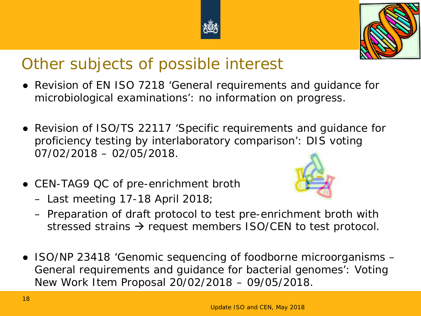# Other subjects of possible interest

- Revision of EN ISO 7218 'General requirements and quidance for microbiological examinations': no information on progress.
- Revision of ISO/TS 22117 'Specific requirements and guidance for proficiency testing by interlaboratory comparison': DIS voting 07/02/2018 – 02/05/2018.
- CEN-TAG9 QC of pre-enrichment broth
	- Last meeting 17-18 April 2018;
	- Preparation of draft protocol to test pre-enrichment broth with stressed strains  $\rightarrow$  request members ISO/CEN to test protocol.
- ISO/NP 23418 'Genomic sequencing of foodborne microorganisms General requirements and guidance for bacterial genomes': Voting New Work Item Proposal 20/02/2018 – 09/05/2018.